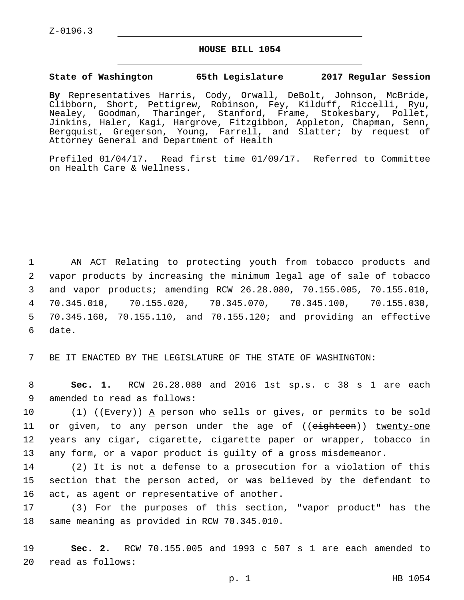Z-0196.3

## **HOUSE BILL 1054**

## **State of Washington 65th Legislature 2017 Regular Session**

**By** Representatives Harris, Cody, Orwall, DeBolt, Johnson, McBride, Clibborn, Short, Pettigrew, Robinson, Fey, Kilduff, Riccelli, Ryu, Nealey, Goodman, Tharinger, Stanford, Frame, Stokesbary, Pollet, Jinkins, Haler, Kagi, Hargrove, Fitzgibbon, Appleton, Chapman, Senn, Bergquist, Gregerson, Young, Farrell, and Slatter; by request of Attorney General and Department of Health

Prefiled 01/04/17. Read first time 01/09/17. Referred to Committee on Health Care & Wellness.

 AN ACT Relating to protecting youth from tobacco products and vapor products by increasing the minimum legal age of sale of tobacco and vapor products; amending RCW 26.28.080, 70.155.005, 70.155.010, 70.345.010, 70.155.020, 70.345.070, 70.345.100, 70.155.030, 70.345.160, 70.155.110, and 70.155.120; and providing an effective 6 date.

7 BE IT ENACTED BY THE LEGISLATURE OF THE STATE OF WASHINGTON:

8 **Sec. 1.** RCW 26.28.080 and 2016 1st sp.s. c 38 s 1 are each 9 amended to read as follows:

10 (1) ((<del>Every</del>)) <u>A</u> person who sells or gives, or permits to be sold 11 or given, to any person under the age of ((eighteen)) twenty-one 12 years any cigar, cigarette, cigarette paper or wrapper, tobacco in 13 any form, or a vapor product is guilty of a gross misdemeanor.

14 (2) It is not a defense to a prosecution for a violation of this 15 section that the person acted, or was believed by the defendant to 16 act, as agent or representative of another.

17 (3) For the purposes of this section, "vapor product" has the 18 same meaning as provided in RCW 70.345.010.

19 **Sec. 2.** RCW 70.155.005 and 1993 c 507 s 1 are each amended to read as follows:20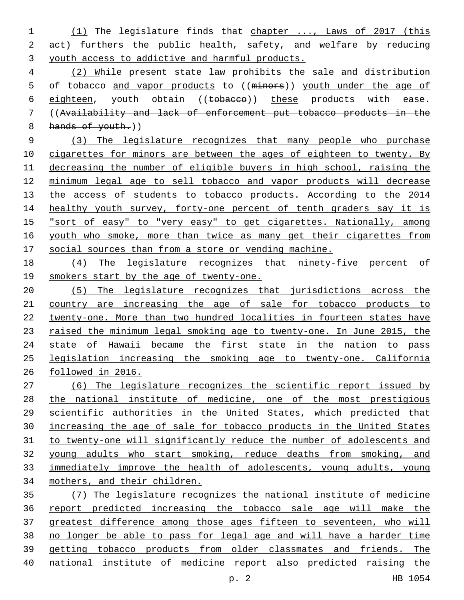(1) The legislature finds that chapter ..., Laws of 2017 (this act) furthers the public health, safety, and welfare by reducing youth access to addictive and harmful products.

 (2) While present state law prohibits the sale and distribution 5 of tobacco and vapor products to ((minors)) youth under the age of 6 eighteen, youth obtain ((tobacco)) these products with ease. ((Availability and lack of enforcement put tobacco products in the 8 hands of youth.)

 (3) The legislature recognizes that many people who purchase 10 cigarettes for minors are between the ages of eighteen to twenty. By decreasing the number of eligible buyers in high school, raising the minimum legal age to sell tobacco and vapor products will decrease 13 the access of students to tobacco products. According to the 2014 14 healthy youth survey, forty-one percent of tenth graders say it is "sort of easy" to "very easy" to get cigarettes. Nationally, among 16 youth who smoke, more than twice as many get their cigarettes from social sources than from a store or vending machine.

 (4) The legislature recognizes that ninety-five percent of smokers start by the age of twenty-one.

 (5) The legislature recognizes that jurisdictions across the country are increasing the age of sale for tobacco products to twenty-one. More than two hundred localities in fourteen states have 23 raised the minimum legal smoking age to twenty-one. In June 2015, the 24 state of Hawaii became the first state in the nation to pass legislation increasing the smoking age to twenty-one. California followed in 2016.

 (6) The legislature recognizes the scientific report issued by the national institute of medicine, one of the most prestigious scientific authorities in the United States, which predicted that increasing the age of sale for tobacco products in the United States to twenty-one will significantly reduce the number of adolescents and young adults who start smoking, reduce deaths from smoking, and immediately improve the health of adolescents, young adults, young mothers, and their children.

 (7) The legislature recognizes the national institute of medicine report predicted increasing the tobacco sale age will make the greatest difference among those ages fifteen to seventeen, who will no longer be able to pass for legal age and will have a harder time getting tobacco products from older classmates and friends. The national institute of medicine report also predicted raising the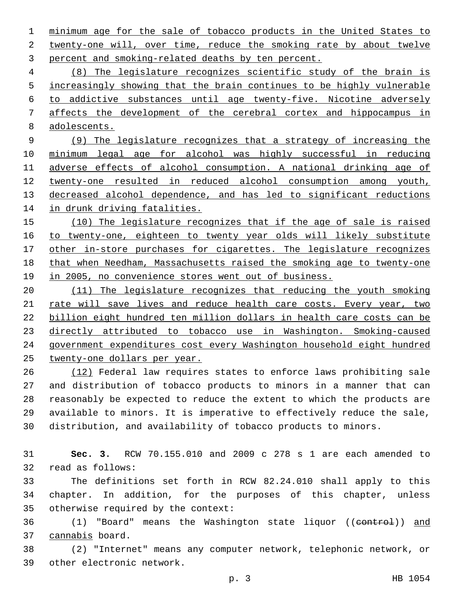minimum age for the sale of tobacco products in the United States to 2 twenty-one will, over time, reduce the smoking rate by about twelve 3 percent and smoking-related deaths by ten percent.

 (8) The legislature recognizes scientific study of the brain is 5 increasingly showing that the brain continues to be highly vulnerable to addictive substances until age twenty-five. Nicotine adversely affects the development of the cerebral cortex and hippocampus in adolescents.

 (9) The legislature recognizes that a strategy of increasing the minimum legal age for alcohol was highly successful in reducing adverse effects of alcohol consumption. A national drinking age of twenty-one resulted in reduced alcohol consumption among youth, decreased alcohol dependence, and has led to significant reductions in drunk driving fatalities.

 (10) The legislature recognizes that if the age of sale is raised to twenty-one, eighteen to twenty year olds will likely substitute 17 other in-store purchases for cigarettes. The legislature recognizes that when Needham, Massachusetts raised the smoking age to twenty-one 19 in 2005, no convenience stores went out of business.

 (11) The legislature recognizes that reducing the youth smoking 21 rate will save lives and reduce health care costs. Every year, two billion eight hundred ten million dollars in health care costs can be directly attributed to tobacco use in Washington. Smoking-caused government expenditures cost every Washington household eight hundred twenty-one dollars per year.

 (12) Federal law requires states to enforce laws prohibiting sale and distribution of tobacco products to minors in a manner that can reasonably be expected to reduce the extent to which the products are available to minors. It is imperative to effectively reduce the sale, distribution, and availability of tobacco products to minors.

 **Sec. 3.** RCW 70.155.010 and 2009 c 278 s 1 are each amended to 32 read as follows:

 The definitions set forth in RCW 82.24.010 shall apply to this chapter. In addition, for the purposes of this chapter, unless 35 otherwise required by the context:

36 (1) "Board" means the Washington state liquor ((control)) and 37 cannabis board.

 (2) "Internet" means any computer network, telephonic network, or 39 other electronic network.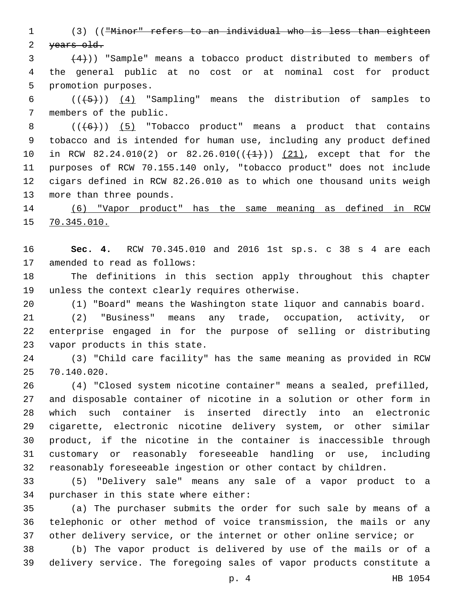(3) (("Minor" refers to an individual who is less than eighteen 2 years old.

 $(4)$ )) "Sample" means a tobacco product distributed to members of the general public at no cost or at nominal cost for product 5 promotion purposes.

6  $((+5))$   $(4)$  "Sampling" means the distribution of samples to 7 members of the public.

 $((+6))$   $(5)$  "Tobacco product" means a product that contains tobacco and is intended for human use, including any product defined 10 in RCW 82.24.010(2) or 82.26.010( $(\frac{1}{1})$ )  $(21)$ , except that for the purposes of RCW 70.155.140 only, "tobacco product" does not include cigars defined in RCW 82.26.010 as to which one thousand units weigh 13 more than three pounds.

 (6) "Vapor product" has the same meaning as defined in RCW 70.345.010.

 **Sec. 4.** RCW 70.345.010 and 2016 1st sp.s. c 38 s 4 are each 17 amended to read as follows:

 The definitions in this section apply throughout this chapter 19 unless the context clearly requires otherwise.

(1) "Board" means the Washington state liquor and cannabis board.

 (2) "Business" means any trade, occupation, activity, or enterprise engaged in for the purpose of selling or distributing 23 vapor products in this state.

 (3) "Child care facility" has the same meaning as provided in RCW 70.140.020.25

 (4) "Closed system nicotine container" means a sealed, prefilled, and disposable container of nicotine in a solution or other form in which such container is inserted directly into an electronic cigarette, electronic nicotine delivery system, or other similar product, if the nicotine in the container is inaccessible through customary or reasonably foreseeable handling or use, including reasonably foreseeable ingestion or other contact by children.

 (5) "Delivery sale" means any sale of a vapor product to a 34 purchaser in this state where either:

 (a) The purchaser submits the order for such sale by means of a telephonic or other method of voice transmission, the mails or any other delivery service, or the internet or other online service; or

 (b) The vapor product is delivered by use of the mails or of a delivery service. The foregoing sales of vapor products constitute a

p. 4 HB 1054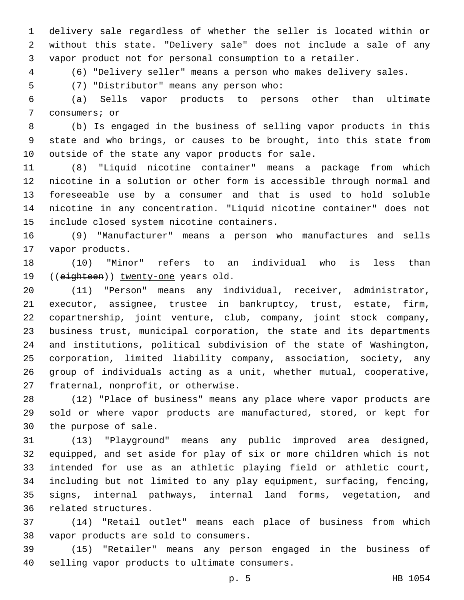delivery sale regardless of whether the seller is located within or without this state. "Delivery sale" does not include a sale of any vapor product not for personal consumption to a retailer.

(6) "Delivery seller" means a person who makes delivery sales.

5 (7) "Distributor" means any person who:

 (a) Sells vapor products to persons other than ultimate 7 consumers; or

 (b) Is engaged in the business of selling vapor products in this state and who brings, or causes to be brought, into this state from 10 outside of the state any vapor products for sale.

 (8) "Liquid nicotine container" means a package from which nicotine in a solution or other form is accessible through normal and foreseeable use by a consumer and that is used to hold soluble nicotine in any concentration. "Liquid nicotine container" does not 15 include closed system nicotine containers.

 (9) "Manufacturer" means a person who manufactures and sells 17 vapor products.

 (10) "Minor" refers to an individual who is less than 19 ((eighteen)) twenty-one years old.

 (11) "Person" means any individual, receiver, administrator, executor, assignee, trustee in bankruptcy, trust, estate, firm, copartnership, joint venture, club, company, joint stock company, business trust, municipal corporation, the state and its departments and institutions, political subdivision of the state of Washington, corporation, limited liability company, association, society, any group of individuals acting as a unit, whether mutual, cooperative, 27 fraternal, nonprofit, or otherwise.

 (12) "Place of business" means any place where vapor products are sold or where vapor products are manufactured, stored, or kept for 30 the purpose of sale.

 (13) "Playground" means any public improved area designed, equipped, and set aside for play of six or more children which is not intended for use as an athletic playing field or athletic court, including but not limited to any play equipment, surfacing, fencing, signs, internal pathways, internal land forms, vegetation, and 36 related structures.

 (14) "Retail outlet" means each place of business from which 38 vapor products are sold to consumers.

 (15) "Retailer" means any person engaged in the business of 40 selling vapor products to ultimate consumers.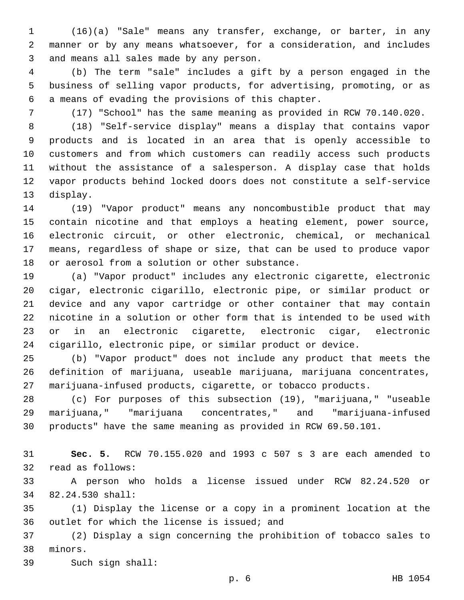(16)(a) "Sale" means any transfer, exchange, or barter, in any manner or by any means whatsoever, for a consideration, and includes 3 and means all sales made by any person.

 (b) The term "sale" includes a gift by a person engaged in the business of selling vapor products, for advertising, promoting, or as 6 a means of evading the provisions of this chapter.

(17) "School" has the same meaning as provided in RCW 70.140.020.

 (18) "Self-service display" means a display that contains vapor products and is located in an area that is openly accessible to customers and from which customers can readily access such products without the assistance of a salesperson. A display case that holds vapor products behind locked doors does not constitute a self-service 13 display.

 (19) "Vapor product" means any noncombustible product that may contain nicotine and that employs a heating element, power source, electronic circuit, or other electronic, chemical, or mechanical means, regardless of shape or size, that can be used to produce vapor 18 or aerosol from a solution or other substance.

 (a) "Vapor product" includes any electronic cigarette, electronic cigar, electronic cigarillo, electronic pipe, or similar product or device and any vapor cartridge or other container that may contain nicotine in a solution or other form that is intended to be used with or in an electronic cigarette, electronic cigar, electronic cigarillo, electronic pipe, or similar product or device.

 (b) "Vapor product" does not include any product that meets the definition of marijuana, useable marijuana, marijuana concentrates, marijuana-infused products, cigarette, or tobacco products.

 (c) For purposes of this subsection (19), "marijuana," "useable marijuana," "marijuana concentrates," and "marijuana-infused products" have the same meaning as provided in RCW 69.50.101.

 **Sec. 5.** RCW 70.155.020 and 1993 c 507 s 3 are each amended to 32 read as follows:

 A person who holds a license issued under RCW 82.24.520 or 82.24.530 shall:34

 (1) Display the license or a copy in a prominent location at the 36 outlet for which the license is issued; and

 (2) Display a sign concerning the prohibition of tobacco sales to 38 minors.

39 Such sign shall: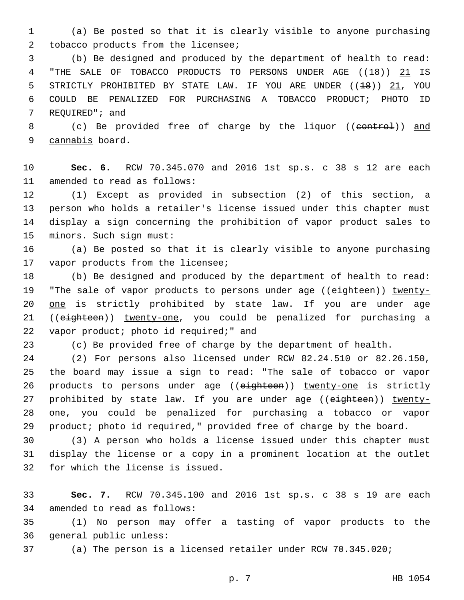1 (a) Be posted so that it is clearly visible to anyone purchasing 2 tobacco products from the licensee;

3 (b) Be designed and produced by the department of health to read: 4 "THE SALE OF TOBACCO PRODUCTS TO PERSONS UNDER AGE ((18)) 21 IS 5 STRICTLY PROHIBITED BY STATE LAW. IF YOU ARE UNDER ((<del>18</del>)) 21, YOU 6 COULD BE PENALIZED FOR PURCHASING A TOBACCO PRODUCT; PHOTO ID 7 REQUIRED"; and

8 (c) Be provided free of charge by the liquor ((control)) and 9 cannabis board.

10 **Sec. 6.** RCW 70.345.070 and 2016 1st sp.s. c 38 s 12 are each 11 amended to read as follows:

 (1) Except as provided in subsection (2) of this section, a person who holds a retailer's license issued under this chapter must display a sign concerning the prohibition of vapor product sales to 15 minors. Such sign must:

16 (a) Be posted so that it is clearly visible to anyone purchasing 17 vapor products from the licensee;

18 (b) Be designed and produced by the department of health to read: 19 "The sale of vapor products to persons under age ((eighteen)) twenty-20 one is strictly prohibited by state law. If you are under age 21 ((eighteen)) twenty-one, you could be penalized for purchasing a 22 vapor product; photo id required;" and

23 (c) Be provided free of charge by the department of health.

 (2) For persons also licensed under RCW 82.24.510 or 82.26.150, the board may issue a sign to read: "The sale of tobacco or vapor 26 products to persons under age ((eighteen)) twenty-one is strictly 27 prohibited by state law. If you are under age ((eighteen)) twenty- one, you could be penalized for purchasing a tobacco or vapor product; photo id required," provided free of charge by the board.

30 (3) A person who holds a license issued under this chapter must 31 display the license or a copy in a prominent location at the outlet 32 for which the license is issued.

33 **Sec. 7.** RCW 70.345.100 and 2016 1st sp.s. c 38 s 19 are each 34 amended to read as follows:

35 (1) No person may offer a tasting of vapor products to the 36 general public unless:

37 (a) The person is a licensed retailer under RCW 70.345.020;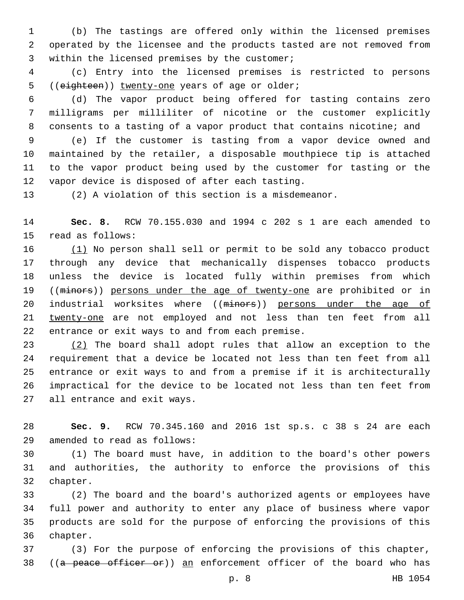(b) The tastings are offered only within the licensed premises operated by the licensee and the products tasted are not removed from 3 within the licensed premises by the customer;

 (c) Entry into the licensed premises is restricted to persons 5 ((eighteen)) twenty-one years of age or older;

 (d) The vapor product being offered for tasting contains zero milligrams per milliliter of nicotine or the customer explicitly consents to a tasting of a vapor product that contains nicotine; and

 (e) If the customer is tasting from a vapor device owned and maintained by the retailer, a disposable mouthpiece tip is attached to the vapor product being used by the customer for tasting or the 12 vapor device is disposed of after each tasting.

(2) A violation of this section is a misdemeanor.

 **Sec. 8.** RCW 70.155.030 and 1994 c 202 s 1 are each amended to 15 read as follows:

 (1) No person shall sell or permit to be sold any tobacco product through any device that mechanically dispenses tobacco products unless the device is located fully within premises from which 19 ((minors)) persons under the age of twenty-one are prohibited or in 20 industrial worksites where ((minors)) persons under the age of twenty-one are not employed and not less than ten feet from all 22 entrance or exit ways to and from each premise.

 (2) The board shall adopt rules that allow an exception to the requirement that a device be located not less than ten feet from all entrance or exit ways to and from a premise if it is architecturally impractical for the device to be located not less than ten feet from 27 all entrance and exit ways.

 **Sec. 9.** RCW 70.345.160 and 2016 1st sp.s. c 38 s 24 are each amended to read as follows:29

 (1) The board must have, in addition to the board's other powers and authorities, the authority to enforce the provisions of this 32 chapter.

 (2) The board and the board's authorized agents or employees have full power and authority to enter any place of business where vapor products are sold for the purpose of enforcing the provisions of this 36 chapter.

 (3) For the purpose of enforcing the provisions of this chapter, 38 ((a peace officer or)) an enforcement officer of the board who has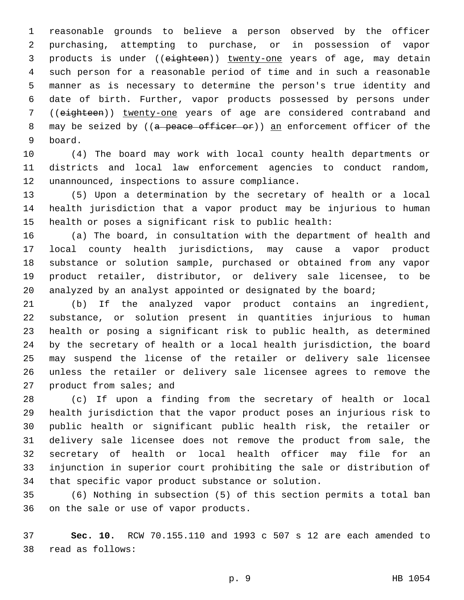reasonable grounds to believe a person observed by the officer purchasing, attempting to purchase, or in possession of vapor 3 products is under ((eighteen)) twenty-one years of age, may detain such person for a reasonable period of time and in such a reasonable manner as is necessary to determine the person's true identity and date of birth. Further, vapor products possessed by persons under ((eighteen)) twenty-one years of age are considered contraband and 8 may be seized by ((a peace officer or)) an enforcement officer of the board.9

 (4) The board may work with local county health departments or districts and local law enforcement agencies to conduct random, 12 unannounced, inspections to assure compliance.

 (5) Upon a determination by the secretary of health or a local health jurisdiction that a vapor product may be injurious to human health or poses a significant risk to public health:

 (a) The board, in consultation with the department of health and local county health jurisdictions, may cause a vapor product substance or solution sample, purchased or obtained from any vapor product retailer, distributor, or delivery sale licensee, to be analyzed by an analyst appointed or designated by the board;

 (b) If the analyzed vapor product contains an ingredient, substance, or solution present in quantities injurious to human health or posing a significant risk to public health, as determined by the secretary of health or a local health jurisdiction, the board may suspend the license of the retailer or delivery sale licensee unless the retailer or delivery sale licensee agrees to remove the 27 product from sales; and

 (c) If upon a finding from the secretary of health or local health jurisdiction that the vapor product poses an injurious risk to public health or significant public health risk, the retailer or delivery sale licensee does not remove the product from sale, the secretary of health or local health officer may file for an injunction in superior court prohibiting the sale or distribution of that specific vapor product substance or solution.

 (6) Nothing in subsection (5) of this section permits a total ban 36 on the sale or use of vapor products.

 **Sec. 10.** RCW 70.155.110 and 1993 c 507 s 12 are each amended to read as follows:38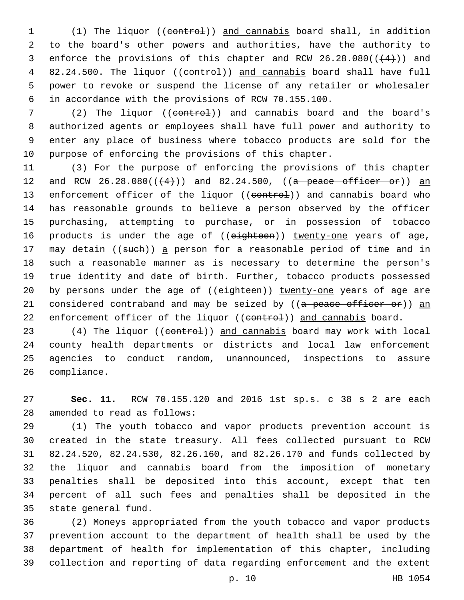1 (1) The liquor ((control)) and cannabis board shall, in addition 2 to the board's other powers and authorities, have the authority to 3 enforce the provisions of this chapter and RCW  $26.28.080((\leftarrow 4+))$  and 4 82.24.500. The liquor ((control)) and cannabis board shall have full 5 power to revoke or suspend the license of any retailer or wholesaler 6 in accordance with the provisions of RCW 70.155.100.

7 (2) The liquor ((eontrol)) and cannabis board and the board's authorized agents or employees shall have full power and authority to enter any place of business where tobacco products are sold for the purpose of enforcing the provisions of this chapter.

11 (3) For the purpose of enforcing the provisions of this chapter 12 and RCW  $26.28.080((44))$  and  $82.24.500$ , ((a peace officer or)) an 13 enforcement officer of the liquor ((eontrol)) and cannabis board who 14 has reasonable grounds to believe a person observed by the officer 15 purchasing, attempting to purchase, or in possession of tobacco 16 products is under the age of ((eighteen)) twenty-one years of age, 17 may detain ((such)) a person for a reasonable period of time and in 18 such a reasonable manner as is necessary to determine the person's 19 true identity and date of birth. Further, tobacco products possessed 20 by persons under the age of ((eighteen)) twenty-one years of age are 21 considered contraband and may be seized by ((a peace officer or)) an 22 enforcement officer of the liquor ((eontrol)) and cannabis board.

23 (4) The liquor ((control)) and cannabis board may work with local 24 county health departments or districts and local law enforcement 25 agencies to conduct random, unannounced, inspections to assure 26 compliance.

27 **Sec. 11.** RCW 70.155.120 and 2016 1st sp.s. c 38 s 2 are each 28 amended to read as follows:

 (1) The youth tobacco and vapor products prevention account is created in the state treasury. All fees collected pursuant to RCW 82.24.520, 82.24.530, 82.26.160, and 82.26.170 and funds collected by the liquor and cannabis board from the imposition of monetary penalties shall be deposited into this account, except that ten percent of all such fees and penalties shall be deposited in the 35 state general fund.

 (2) Moneys appropriated from the youth tobacco and vapor products prevention account to the department of health shall be used by the department of health for implementation of this chapter, including collection and reporting of data regarding enforcement and the extent